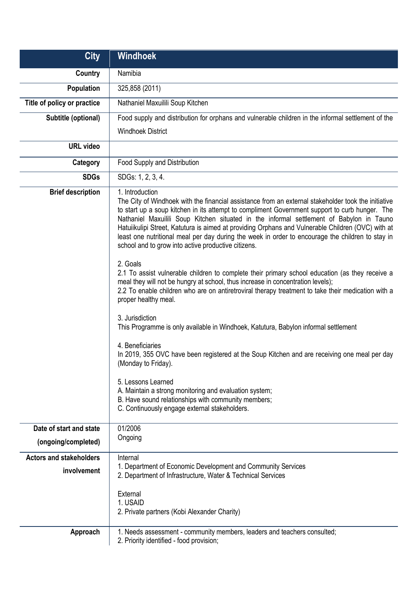| <b>City</b>                    | <b>Windhoek</b>                                                                                                                                                                                                                                                                                                                                                                                                                                                                                                                                                                      |
|--------------------------------|--------------------------------------------------------------------------------------------------------------------------------------------------------------------------------------------------------------------------------------------------------------------------------------------------------------------------------------------------------------------------------------------------------------------------------------------------------------------------------------------------------------------------------------------------------------------------------------|
| Country                        | Namibia                                                                                                                                                                                                                                                                                                                                                                                                                                                                                                                                                                              |
| <b>Population</b>              | 325,858 (2011)                                                                                                                                                                                                                                                                                                                                                                                                                                                                                                                                                                       |
| Title of policy or practice    | Nathaniel Maxuilili Soup Kitchen                                                                                                                                                                                                                                                                                                                                                                                                                                                                                                                                                     |
| Subtitle (optional)            | Food supply and distribution for orphans and vulnerable children in the informal settlement of the                                                                                                                                                                                                                                                                                                                                                                                                                                                                                   |
|                                | <b>Windhoek District</b>                                                                                                                                                                                                                                                                                                                                                                                                                                                                                                                                                             |
| <b>URL</b> video               |                                                                                                                                                                                                                                                                                                                                                                                                                                                                                                                                                                                      |
| Category                       | Food Supply and Distribution                                                                                                                                                                                                                                                                                                                                                                                                                                                                                                                                                         |
| <b>SDGs</b>                    | SDGs: 1, 2, 3, 4.                                                                                                                                                                                                                                                                                                                                                                                                                                                                                                                                                                    |
| <b>Brief description</b>       | 1. Introduction<br>The City of Windhoek with the financial assistance from an external stakeholder took the initiative<br>to start up a soup kitchen in its attempt to compliment Government support to curb hunger. The<br>Nathaniel Maxuilili Soup Kitchen situated in the informal settlement of Babylon in Tauno<br>Hatuiikulipi Street, Katutura is aimed at providing Orphans and Vulnerable Children (OVC) with at<br>least one nutritional meal per day during the week in order to encourage the children to stay in<br>school and to grow into active productive citizens. |
|                                | 2. Goals<br>2.1 To assist vulnerable children to complete their primary school education (as they receive a<br>meal they will not be hungry at school, thus increase in concentration levels);<br>2.2 To enable children who are on antiretroviral therapy treatment to take their medication with a<br>proper healthy meal.                                                                                                                                                                                                                                                         |
|                                | 3. Jurisdiction<br>This Programme is only available in Windhoek, Katutura, Babylon informal settlement                                                                                                                                                                                                                                                                                                                                                                                                                                                                               |
|                                | 4. Beneficiaries<br>In 2019, 355 OVC have been registered at the Soup Kitchen and are receiving one meal per day<br>(Monday to Friday).                                                                                                                                                                                                                                                                                                                                                                                                                                              |
|                                | 5. Lessons Learned<br>A. Maintain a strong monitoring and evaluation system;<br>B. Have sound relationships with community members;<br>C. Continuously engage external stakeholders.                                                                                                                                                                                                                                                                                                                                                                                                 |
| Date of start and state        | 01/2006                                                                                                                                                                                                                                                                                                                                                                                                                                                                                                                                                                              |
| (ongoing/completed)            | Ongoing                                                                                                                                                                                                                                                                                                                                                                                                                                                                                                                                                                              |
| <b>Actors and stakeholders</b> | Internal                                                                                                                                                                                                                                                                                                                                                                                                                                                                                                                                                                             |
| involvement                    | 1. Department of Economic Development and Community Services<br>2. Department of Infrastructure, Water & Technical Services                                                                                                                                                                                                                                                                                                                                                                                                                                                          |
|                                | External<br>1. USAID<br>2. Private partners (Kobi Alexander Charity)                                                                                                                                                                                                                                                                                                                                                                                                                                                                                                                 |
| Approach                       | 1. Needs assessment - community members, leaders and teachers consulted;<br>2. Priority identified - food provision;                                                                                                                                                                                                                                                                                                                                                                                                                                                                 |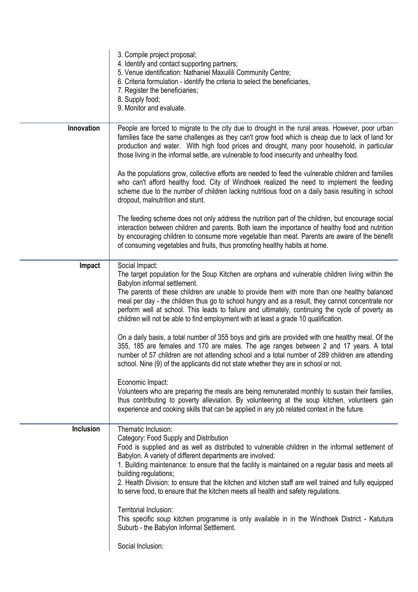|            | 3. Compile project proposal;<br>4. Identify and contact supporting partners;<br>5. Venue identification: Nathaniel Maxuilili Community Centre;<br>6. Criteria formulation - identify the criteria to select the beneficiaries,<br>7. Register the beneficiaries;<br>8. Supply food;<br>9. Monitor and evaluate.                                                                                                                                                                                                                                                                                                                                                                                                                                                                                                                                                                                                                                                                                                                                                                                                                                                                                                                                                      |
|------------|----------------------------------------------------------------------------------------------------------------------------------------------------------------------------------------------------------------------------------------------------------------------------------------------------------------------------------------------------------------------------------------------------------------------------------------------------------------------------------------------------------------------------------------------------------------------------------------------------------------------------------------------------------------------------------------------------------------------------------------------------------------------------------------------------------------------------------------------------------------------------------------------------------------------------------------------------------------------------------------------------------------------------------------------------------------------------------------------------------------------------------------------------------------------------------------------------------------------------------------------------------------------|
| Innovation | People are forced to migrate to the city due to drought in the rural areas. However, poor urban<br>families face the same challenges as they can't grow food which is cheap due to lack of land for<br>production and water. With high food prices and drought, many poor household, in particular<br>those living in the informal settle, are vulnerable to food insecurity and unhealthy food.                                                                                                                                                                                                                                                                                                                                                                                                                                                                                                                                                                                                                                                                                                                                                                                                                                                                     |
|            | As the populations grow, collective efforts are needed to feed the vulnerable children and families<br>who can't afford healthy food. City of Windhoek realized the need to implement the feeding<br>scheme due to the number of children lacking nutritious food on a daily basis resulting in school<br>dropout, malnutrition and stunt.                                                                                                                                                                                                                                                                                                                                                                                                                                                                                                                                                                                                                                                                                                                                                                                                                                                                                                                           |
|            | The feeding scheme does not only address the nutrition part of the children, but encourage social<br>interaction between children and parents. Both learn the importance of healthy food and nutrition<br>by encouraging children to consume more vegetable than meat. Parents are aware of the benefit<br>of consuming vegetables and fruits, thus promoting healthy habits at home.                                                                                                                                                                                                                                                                                                                                                                                                                                                                                                                                                                                                                                                                                                                                                                                                                                                                                |
| Impact     | Social Impact:<br>The target population for the Soup Kitchen are orphans and vulnerable children living within the<br>Babylon informal settlement.<br>The parents of these children are unable to provide them with more than one healthy balanced<br>meal per day - the children thus go to school hungry and as a result, they cannot concentrate nor<br>perform well at school. This leads to failure and ultimately, continuing the cycle of poverty as<br>children will not be able to find employment with at least a grade 10 qualification.<br>On a daily basis, a total number of 355 boys and girls are provided with one healthy meal. Of the<br>355, 185 are females and 170 are males. The age ranges between 2 and 17 years. A total<br>number of 57 children are not attending school and a total number of 289 children are attending<br>school. Nine (9) of the applicants did not state whether they are in school or not.<br>Economic Impact:<br>Volunteers who are preparing the meals are being remunerated monthly to sustain their families,<br>thus contributing to poverty alleviation. By volunteering at the soup kitchen, volunteers gain<br>experience and cooking skills that can be applied in any job related context in the future. |
| Inclusion  | Thematic Inclusion:<br>Category: Food Supply and Distribution<br>Food is supplied and as well as distributed to vulnerable children in the informal settlement of<br>Babylon. A variety of different departments are involved:<br>1. Building maintenance: to ensure that the facility is maintained on a regular basis and meets all<br>building regulations;<br>2. Health Division: to ensure that the kitchen and kitchen staff are well trained and fully equipped<br>to serve food, to ensure that the kitchen meets all health and safety regulations.<br>Territorial Inclusion:<br>This specific soup kitchen programme is only available in in the Windhoek District - Katutura<br>Suburb - the Babylon Informal Settlement.<br>Social Inclusion:                                                                                                                                                                                                                                                                                                                                                                                                                                                                                                            |